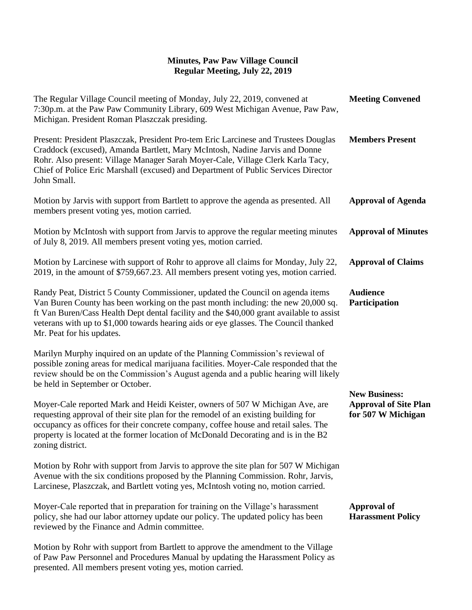## **Minutes, Paw Paw Village Council Regular Meeting, July 22, 2019**

| The Regular Village Council meeting of Monday, July 22, 2019, convened at<br>7:30p.m. at the Paw Paw Community Library, 609 West Michigan Avenue, Paw Paw,<br>Michigan. President Roman Plaszczak presiding.                                                                                                                                                                          | <b>Meeting Convened</b>                                                    |
|---------------------------------------------------------------------------------------------------------------------------------------------------------------------------------------------------------------------------------------------------------------------------------------------------------------------------------------------------------------------------------------|----------------------------------------------------------------------------|
| Present: President Plaszczak, President Pro-tem Eric Larcinese and Trustees Douglas<br>Craddock (excused), Amanda Bartlett, Mary McIntosh, Nadine Jarvis and Donne<br>Rohr. Also present: Village Manager Sarah Moyer-Cale, Village Clerk Karla Tacy,<br>Chief of Police Eric Marshall (excused) and Department of Public Services Director<br>John Small.                            | <b>Members Present</b>                                                     |
| Motion by Jarvis with support from Bartlett to approve the agenda as presented. All<br>members present voting yes, motion carried.                                                                                                                                                                                                                                                    | <b>Approval of Agenda</b>                                                  |
| Motion by McIntosh with support from Jarvis to approve the regular meeting minutes<br>of July 8, 2019. All members present voting yes, motion carried.                                                                                                                                                                                                                                | <b>Approval of Minutes</b>                                                 |
| Motion by Larcinese with support of Rohr to approve all claims for Monday, July 22,<br>2019, in the amount of \$759,667.23. All members present voting yes, motion carried.                                                                                                                                                                                                           | <b>Approval of Claims</b>                                                  |
| Randy Peat, District 5 County Commissioner, updated the Council on agenda items<br>Van Buren County has been working on the past month including: the new 20,000 sq.<br>ft Van Buren/Cass Health Dept dental facility and the \$40,000 grant available to assist<br>veterans with up to \$1,000 towards hearing aids or eye glasses. The Council thanked<br>Mr. Peat for his updates. | <b>Audience</b><br>Participation                                           |
| Marilyn Murphy inquired on an update of the Planning Commission's reviewal of<br>possible zoning areas for medical marijuana facilities. Moyer-Cale responded that the<br>review should be on the Commission's August agenda and a public hearing will likely<br>be held in September or October.                                                                                     |                                                                            |
| Moyer-Cale reported Mark and Heidi Keister, owners of 507 W Michigan Ave, are<br>requesting approval of their site plan for the remodel of an existing building for<br>occupancy as offices for their concrete company, coffee house and retail sales. The<br>property is located at the former location of McDonald Decorating and is in the B2<br>zoning district.                  | <b>New Business:</b><br><b>Approval of Site Plan</b><br>for 507 W Michigan |
| Motion by Rohr with support from Jarvis to approve the site plan for 507 W Michigan<br>Avenue with the six conditions proposed by the Planning Commission. Rohr, Jarvis,<br>Larcinese, Plaszczak, and Bartlett voting yes, McIntosh voting no, motion carried.                                                                                                                        |                                                                            |
| Moyer-Cale reported that in preparation for training on the Village's harassment<br>policy, she had our labor attorney update our policy. The updated policy has been<br>reviewed by the Finance and Admin committee.                                                                                                                                                                 | <b>Approval of</b><br><b>Harassment Policy</b>                             |
| Motion by Rohr with support from Bartlett to approve the amendment to the Village<br>of Paw Paw Personnel and Procedures Manual by updating the Harassment Policy as<br>presented. All members present voting yes, motion carried.                                                                                                                                                    |                                                                            |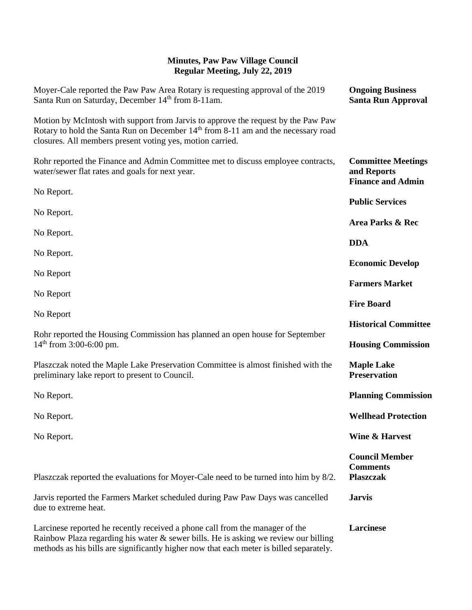## **Minutes, Paw Paw Village Council Regular Meeting, July 22, 2019**

| Moyer-Cale reported the Paw Paw Area Rotary is requesting approval of the 2019<br>Santa Run on Saturday, December 14 <sup>th</sup> from 8-11am.                                                                                                                | <b>Ongoing Business</b><br><b>Santa Run Approval</b>                 |
|----------------------------------------------------------------------------------------------------------------------------------------------------------------------------------------------------------------------------------------------------------------|----------------------------------------------------------------------|
| Motion by McIntosh with support from Jarvis to approve the request by the Paw Paw<br>Rotary to hold the Santa Run on December 14 <sup>th</sup> from 8-11 am and the necessary road<br>closures. All members present voting yes, motion carried.                |                                                                      |
| Rohr reported the Finance and Admin Committee met to discuss employee contracts,<br>water/sewer flat rates and goals for next year.                                                                                                                            | <b>Committee Meetings</b><br>and Reports<br><b>Finance and Admin</b> |
| No Report.                                                                                                                                                                                                                                                     | <b>Public Services</b>                                               |
| No Report.                                                                                                                                                                                                                                                     | Area Parks & Rec                                                     |
| No Report.                                                                                                                                                                                                                                                     |                                                                      |
| No Report.                                                                                                                                                                                                                                                     | <b>DDA</b>                                                           |
| No Report                                                                                                                                                                                                                                                      | <b>Economic Develop</b>                                              |
|                                                                                                                                                                                                                                                                | <b>Farmers Market</b>                                                |
| No Report                                                                                                                                                                                                                                                      | <b>Fire Board</b>                                                    |
| No Report                                                                                                                                                                                                                                                      | <b>Historical Committee</b>                                          |
| Rohr reported the Housing Commission has planned an open house for September<br>$14th$ from 3:00-6:00 pm.                                                                                                                                                      | <b>Housing Commission</b>                                            |
| Plaszczak noted the Maple Lake Preservation Committee is almost finished with the<br>preliminary lake report to present to Council.                                                                                                                            | <b>Maple Lake</b><br><b>Preservation</b>                             |
| No Report.                                                                                                                                                                                                                                                     | <b>Planning Commission</b>                                           |
| No Report.                                                                                                                                                                                                                                                     | <b>Wellhead Protection</b>                                           |
| No Report.                                                                                                                                                                                                                                                     | <b>Wine &amp; Harvest</b>                                            |
| Plaszczak reported the evaluations for Moyer-Cale need to be turned into him by 8/2.                                                                                                                                                                           | <b>Council Member</b><br><b>Comments</b><br><b>Plaszczak</b>         |
| Jarvis reported the Farmers Market scheduled during Paw Paw Days was cancelled<br>due to extreme heat.                                                                                                                                                         | <b>Jarvis</b>                                                        |
| Larcinese reported he recently received a phone call from the manager of the<br>Rainbow Plaza regarding his water & sewer bills. He is asking we review our billing<br>methods as his bills are significantly higher now that each meter is billed separately. | Larcinese                                                            |